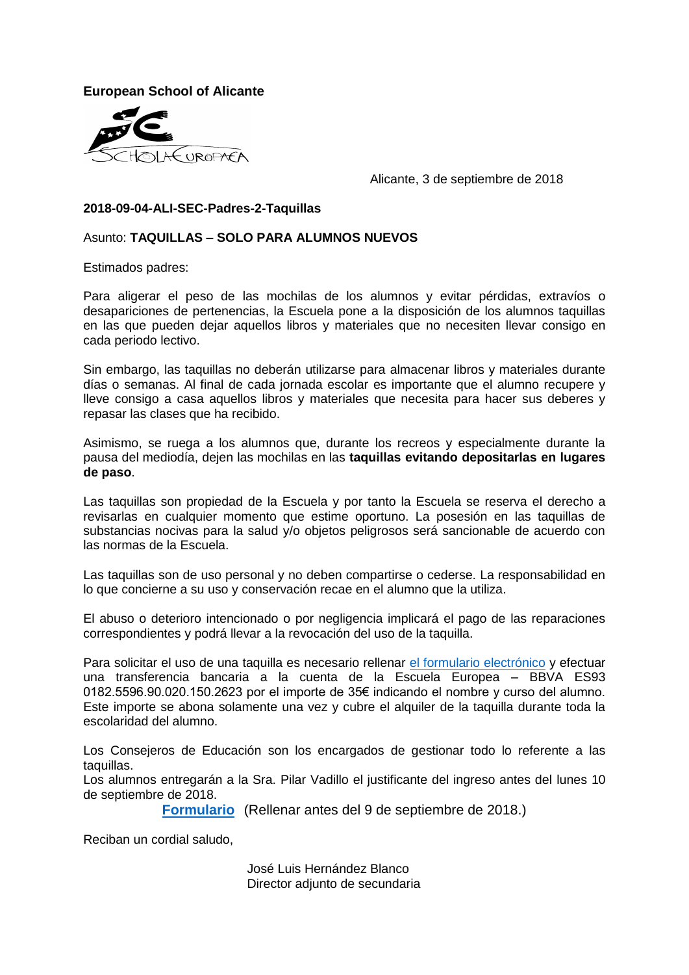**European School of Alicante**



Alicante, 3 de septiembre de 2018

### **2018-09-04-ALI-SEC-Padres-2-Taquillas**

### Asunto: **TAQUILLAS – SOLO PARA ALUMNOS NUEVOS**

Estimados padres:

Para aligerar el peso de las mochilas de los alumnos y evitar pérdidas, extravíos o desapariciones de pertenencias, la Escuela pone a la disposición de los alumnos taquillas en las que pueden dejar aquellos libros y materiales que no necesiten llevar consigo en cada periodo lectivo.

Sin embargo, las taquillas no deberán utilizarse para almacenar libros y materiales durante días o semanas. Al final de cada jornada escolar es importante que el alumno recupere y lleve consigo a casa aquellos libros y materiales que necesita para hacer sus deberes y repasar las clases que ha recibido.

Asimismo, se ruega a los alumnos que, durante los recreos y especialmente durante la pausa del mediodía, dejen las mochilas en las **taquillas evitando depositarlas en lugares de paso**.

Las taquillas son propiedad de la Escuela y por tanto la Escuela se reserva el derecho a revisarlas en cualquier momento que estime oportuno. La posesión en las taquillas de substancias nocivas para la salud y/o objetos peligrosos será sancionable de acuerdo con las normas de la Escuela.

Las taquillas son de uso personal y no deben compartirse o cederse. La responsabilidad en lo que concierne a su uso y conservación recae en el alumno que la utiliza.

El abuso o deterioro intencionado o por negligencia implicará el pago de las reparaciones correspondientes y podrá llevar a la revocación del uso de la taquilla.

Para solicitar el uso de una taquilla es necesario rellenar [el formulario electrónico](https://forms.office.com/Pages/ResponsePage.aspx?id=aeA505McU0OzBwsicDW6QiZKHLwOjF1JqnOURdITu8JURUJSSUtBOU5XWVZOVFdRRDhHRTI1NEJaWC4u) y efectuar una transferencia bancaria a la cuenta de la Escuela Europea – BBVA ES93 0182.5596.90.020.150.2623 por el importe de 35€ indicando el nombre y curso del alumno. Este importe se abona solamente una vez y cubre el alquiler de la taquilla durante toda la escolaridad del alumno.

Los Consejeros de Educación son los encargados de gestionar todo lo referente a las taquillas.

Los alumnos entregarán a la Sra. Pilar Vadillo el justificante del ingreso antes del lunes 10 de septiembre de 2018.

**[Formulario](https://forms.office.com/Pages/ResponsePage.aspx?id=aeA505McU0OzBwsicDW6QiZKHLwOjF1JqnOURdITu8JURUJSSUtBOU5XWVZOVFdRRDhHRTI1NEJaWC4u)** (Rellenar antes del 9 de septiembre de 2018.)

Reciban un cordial saludo,

José Luis Hernández Blanco Director adjunto de secundaria